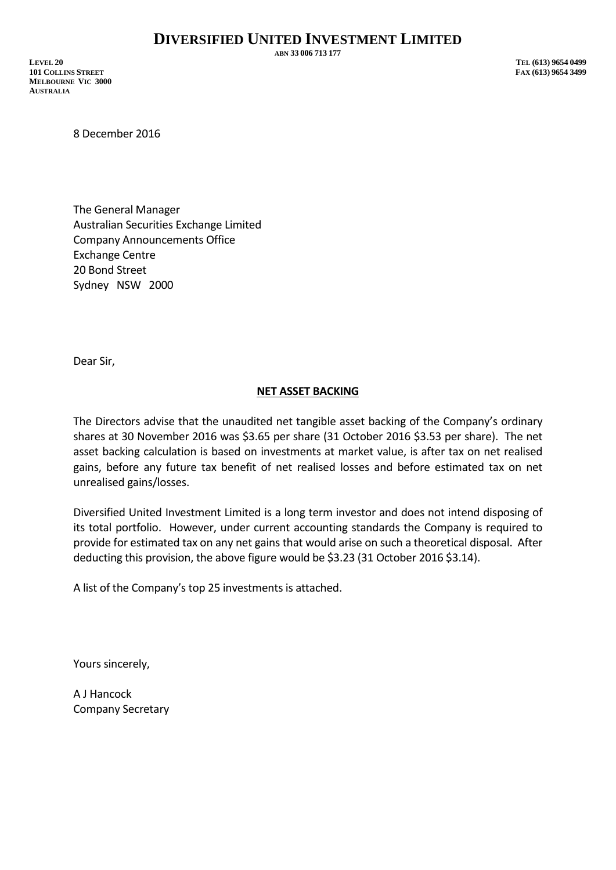**ABN 33 006 713 177**

8 December 2016

The General Manager Australian Securities Exchange Limited Company Announcements Office Exchange Centre 20 Bond Street Sydney NSW 2000

Dear Sir,

## **NET ASSET BACKING**

The Directors advise that the unaudited net tangible asset backing of the Company's ordinary shares at 30 November 2016 was \$3.65 per share (31 October 2016 \$3.53 per share). The net asset backing calculation is based on investments at market value, is after tax on net realised gains, before any future tax benefit of net realised losses and before estimated tax on net unrealised gains/losses.

Diversified United Investment Limited is a long term investor and does not intend disposing of its total portfolio. However, under current accounting standards the Company is required to provide for estimated tax on any net gains that would arise on such a theoretical disposal. After deducting this provision, the above figure would be \$3.23 (31 October 2016 \$3.14).

A list of the Company's top 25 investments is attached.

Yours sincerely,

A J Hancock Company Secretary